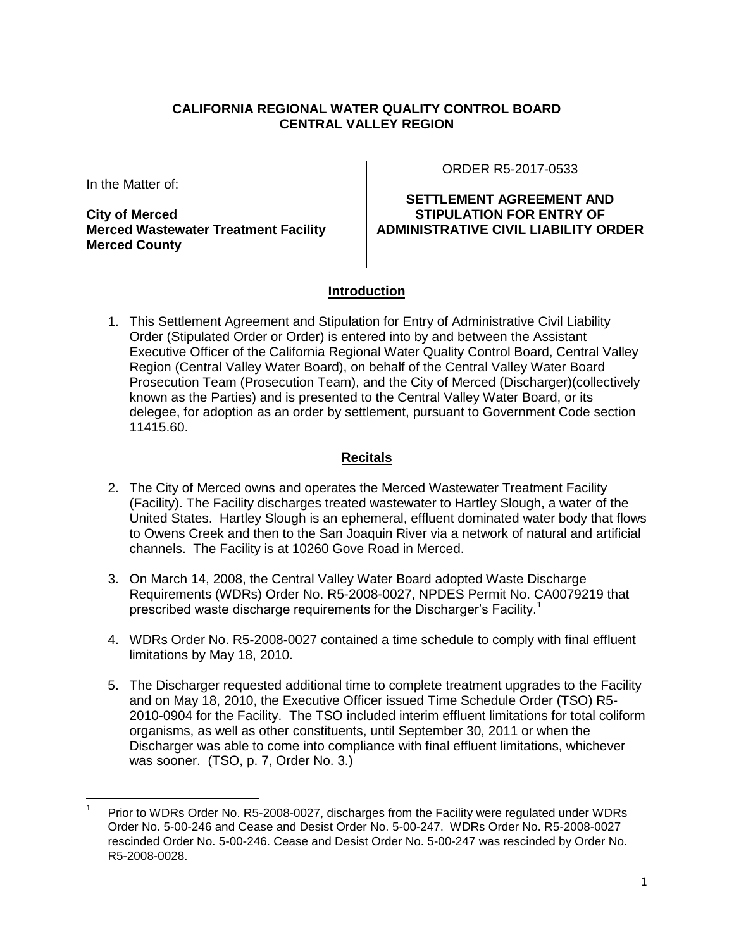### **CALIFORNIA REGIONAL WATER QUALITY CONTROL BOARD CENTRAL VALLEY REGION**

In the Matter of:

**City of Merced Merced Wastewater Treatment Facility Merced County**

ORDER R5-2017-0533

**SETTLEMENT AGREEMENT AND STIPULATION FOR ENTRY OF ADMINISTRATIVE CIVIL LIABILITY ORDER** 

### **Introduction**

1. This Settlement Agreement and Stipulation for Entry of Administrative Civil Liability Order (Stipulated Order or Order) is entered into by and between the Assistant Executive Officer of the California Regional Water Quality Control Board, Central Valley Region (Central Valley Water Board), on behalf of the Central Valley Water Board Prosecution Team (Prosecution Team), and the City of Merced (Discharger)(collectively known as the Parties) and is presented to the Central Valley Water Board, or its delegee, for adoption as an order by settlement, pursuant to Government Code section 11415.60.

## **Recitals**

- 2. The City of Merced owns and operates the Merced Wastewater Treatment Facility (Facility). The Facility discharges treated wastewater to Hartley Slough, a water of the United States. Hartley Slough is an ephemeral, effluent dominated water body that flows to Owens Creek and then to the San Joaquin River via a network of natural and artificial channels. The Facility is at 10260 Gove Road in Merced.
- 3. On March 14, 2008, the Central Valley Water Board adopted Waste Discharge Requirements (WDRs) Order No. R5-2008-0027, NPDES Permit No. CA0079219 that prescribed waste discharge requirements for the Discharger's Facility.<sup>1</sup>
- 4. WDRs Order No. R5-2008-0027 contained a time schedule to comply with final effluent limitations by May 18, 2010.
- 5. The Discharger requested additional time to complete treatment upgrades to the Facility and on May 18, 2010, the Executive Officer issued Time Schedule Order (TSO) R5- 2010-0904 for the Facility. The TSO included interim effluent limitations for total coliform organisms, as well as other constituents, until September 30, 2011 or when the Discharger was able to come into compliance with final effluent limitations, whichever was sooner. (TSO, p. 7, Order No. 3.)

<sup>1</sup> Prior to WDRs Order No. R5-2008-0027, discharges from the Facility were regulated under WDRs Order No. 5-00-246 and Cease and Desist Order No. 5-00-247. WDRs Order No. R5-2008-0027 rescinded Order No. 5-00-246. Cease and Desist Order No. 5-00-247 was rescinded by Order No. R5-2008-0028.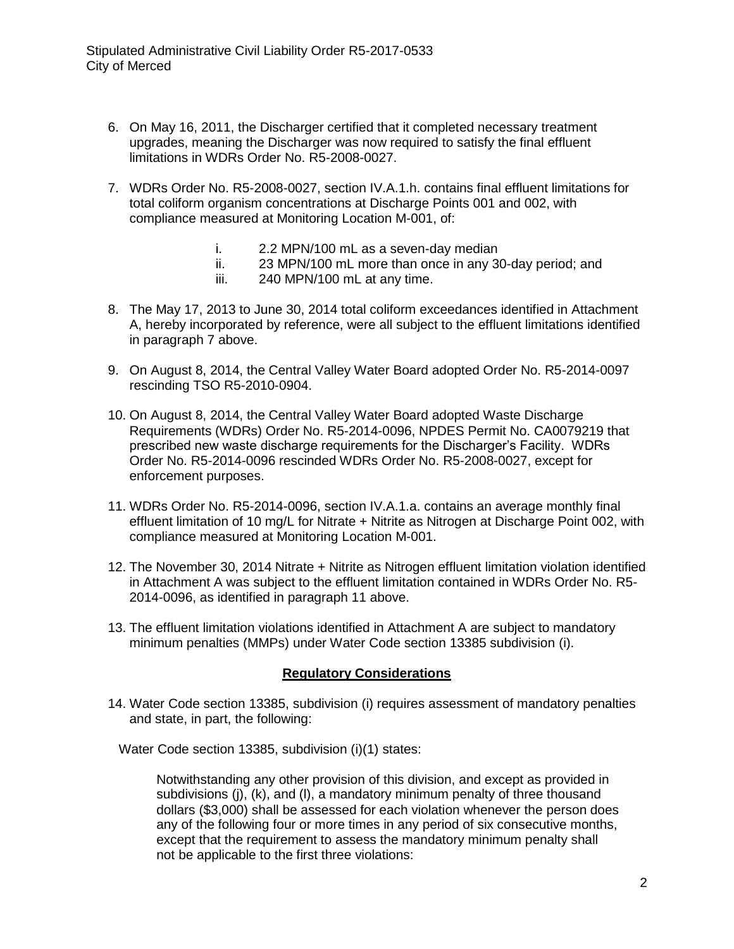- 6. On May 16, 2011, the Discharger certified that it completed necessary treatment upgrades, meaning the Discharger was now required to satisfy the final effluent limitations in WDRs Order No. R5-2008-0027.
- 7. WDRs Order No. R5-2008-0027, section IV.A.1.h. contains final effluent limitations for total coliform organism concentrations at Discharge Points 001 and 002, with compliance measured at Monitoring Location M-001, of:
	- i. 2.2 MPN/100 mL as a seven-day median
	- ii. 23 MPN/100 mL more than once in any 30-day period; and
	- iii. 240 MPN/100 mL at any time.
- 8. The May 17, 2013 to June 30, 2014 total coliform exceedances identified in Attachment A, hereby incorporated by reference, were all subject to the effluent limitations identified in paragraph 7 above.
- 9. On August 8, 2014, the Central Valley Water Board adopted Order No. R5-2014-0097 rescinding TSO R5-2010-0904.
- 10. On August 8, 2014, the Central Valley Water Board adopted Waste Discharge Requirements (WDRs) Order No. R5-2014-0096, NPDES Permit No. CA0079219 that prescribed new waste discharge requirements for the Discharger's Facility. WDRs Order No. R5-2014-0096 rescinded WDRs Order No. R5-2008-0027, except for enforcement purposes.
- 11. WDRs Order No. R5-2014-0096, section IV.A.1.a. contains an average monthly final effluent limitation of 10 mg/L for Nitrate + Nitrite as Nitrogen at Discharge Point 002, with compliance measured at Monitoring Location M-001.
- 12. The November 30, 2014 Nitrate + Nitrite as Nitrogen effluent limitation violation identified in Attachment A was subject to the effluent limitation contained in WDRs Order No. R5- 2014-0096, as identified in paragraph 11 above.
- 13. The effluent limitation violations identified in Attachment A are subject to mandatory minimum penalties (MMPs) under Water Code section 13385 subdivision (i).

### **Regulatory Considerations**

14. Water Code section 13385, subdivision (i) requires assessment of mandatory penalties and state, in part, the following:

Water Code section 13385, subdivision (i)(1) states:

Notwithstanding any other provision of this division, and except as provided in subdivisions (j), (k), and (l), a mandatory minimum penalty of three thousand dollars (\$3,000) shall be assessed for each violation whenever the person does any of the following four or more times in any period of six consecutive months, except that the requirement to assess the mandatory minimum penalty shall not be applicable to the first three violations: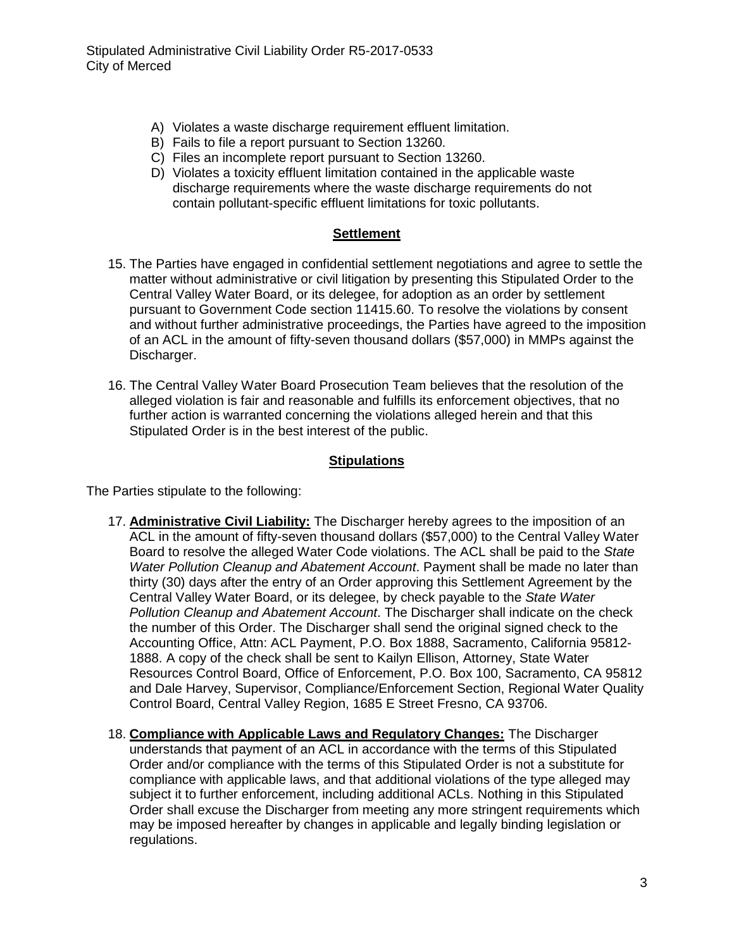- A) Violates a waste discharge requirement effluent limitation.
- B) Fails to file a report pursuant to Section 13260.
- C) Files an incomplete report pursuant to Section 13260.
- D) Violates a toxicity effluent limitation contained in the applicable waste discharge requirements where the waste discharge requirements do not contain pollutant-specific effluent limitations for toxic pollutants.

#### **Settlement**

- 15. The Parties have engaged in confidential settlement negotiations and agree to settle the matter without administrative or civil litigation by presenting this Stipulated Order to the Central Valley Water Board, or its delegee, for adoption as an order by settlement pursuant to Government Code section 11415.60. To resolve the violations by consent and without further administrative proceedings, the Parties have agreed to the imposition of an ACL in the amount of fifty-seven thousand dollars (\$57,000) in MMPs against the Discharger.
- 16. The Central Valley Water Board Prosecution Team believes that the resolution of the alleged violation is fair and reasonable and fulfills its enforcement objectives, that no further action is warranted concerning the violations alleged herein and that this Stipulated Order is in the best interest of the public.

#### **Stipulations**

The Parties stipulate to the following:

- 17. **Administrative Civil Liability:** The Discharger hereby agrees to the imposition of an ACL in the amount of fifty-seven thousand dollars (\$57,000) to the Central Valley Water Board to resolve the alleged Water Code violations. The ACL shall be paid to the *State Water Pollution Cleanup and Abatement Account*. Payment shall be made no later than thirty (30) days after the entry of an Order approving this Settlement Agreement by the Central Valley Water Board, or its delegee, by check payable to the *State Water Pollution Cleanup and Abatement Account*. The Discharger shall indicate on the check the number of this Order. The Discharger shall send the original signed check to the Accounting Office, Attn: ACL Payment, P.O. Box 1888, Sacramento, California 95812- 1888. A copy of the check shall be sent to Kailyn Ellison, Attorney, State Water Resources Control Board, Office of Enforcement, P.O. Box 100, Sacramento, CA 95812 and Dale Harvey, Supervisor, Compliance/Enforcement Section, Regional Water Quality Control Board, Central Valley Region, 1685 E Street Fresno, CA 93706.
- 18. **Compliance with Applicable Laws and Regulatory Changes:** The Discharger understands that payment of an ACL in accordance with the terms of this Stipulated Order and/or compliance with the terms of this Stipulated Order is not a substitute for compliance with applicable laws, and that additional violations of the type alleged may subject it to further enforcement, including additional ACLs. Nothing in this Stipulated Order shall excuse the Discharger from meeting any more stringent requirements which may be imposed hereafter by changes in applicable and legally binding legislation or regulations.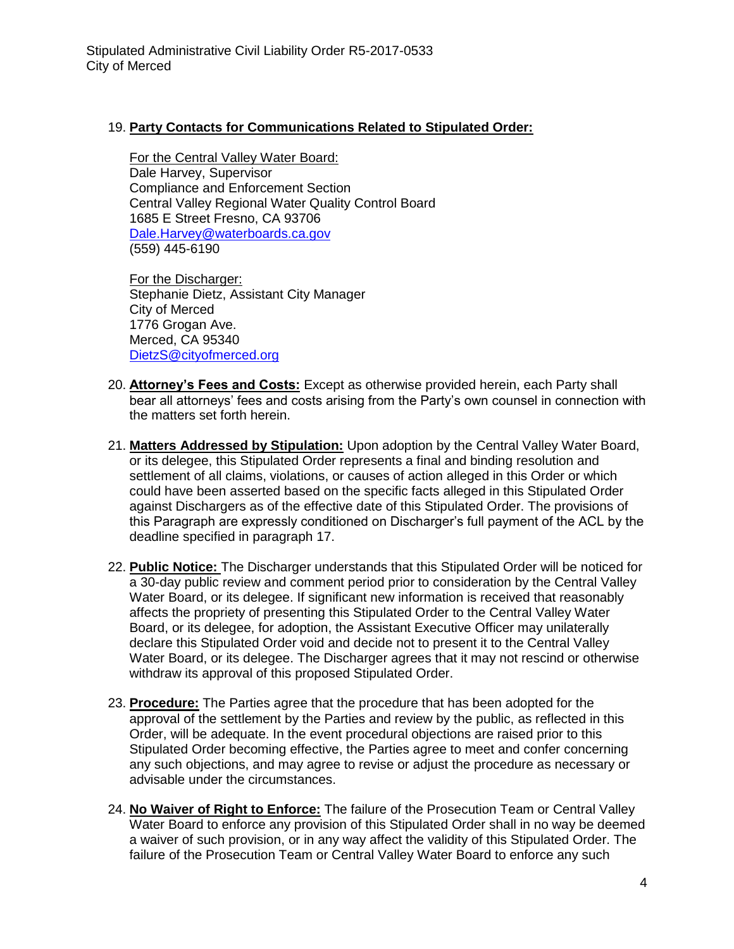## 19. **Party Contacts for Communications Related to Stipulated Order:**

For the Central Valley Water Board: Dale Harvey, Supervisor Compliance and Enforcement Section Central Valley Regional Water Quality Control Board 1685 E Street Fresno, CA 93706 [Dale.Harvey@waterboards.ca.gov](mailto:Dale.Harvey@waterboards.ca.gov) (559) 445-6190

For the Discharger: Stephanie Dietz, Assistant City Manager City of Merced 1776 Grogan Ave. Merced, CA 95340 [DietzS@cityofmerced.org](mailto:DietzS@cityofmerced.org)

- 20. **Attorney's Fees and Costs:** Except as otherwise provided herein, each Party shall bear all attorneys' fees and costs arising from the Party's own counsel in connection with the matters set forth herein.
- 21. **Matters Addressed by Stipulation:** Upon adoption by the Central Valley Water Board, or its delegee, this Stipulated Order represents a final and binding resolution and settlement of all claims, violations, or causes of action alleged in this Order or which could have been asserted based on the specific facts alleged in this Stipulated Order against Dischargers as of the effective date of this Stipulated Order. The provisions of this Paragraph are expressly conditioned on Discharger's full payment of the ACL by the deadline specified in paragraph 17.
- 22. **Public Notice:** The Discharger understands that this Stipulated Order will be noticed for a 30-day public review and comment period prior to consideration by the Central Valley Water Board, or its delegee. If significant new information is received that reasonably affects the propriety of presenting this Stipulated Order to the Central Valley Water Board, or its delegee, for adoption, the Assistant Executive Officer may unilaterally declare this Stipulated Order void and decide not to present it to the Central Valley Water Board, or its delegee. The Discharger agrees that it may not rescind or otherwise withdraw its approval of this proposed Stipulated Order.
- 23. **Procedure:** The Parties agree that the procedure that has been adopted for the approval of the settlement by the Parties and review by the public, as reflected in this Order, will be adequate. In the event procedural objections are raised prior to this Stipulated Order becoming effective, the Parties agree to meet and confer concerning any such objections, and may agree to revise or adjust the procedure as necessary or advisable under the circumstances.
- 24. **No Waiver of Right to Enforce:** The failure of the Prosecution Team or Central Valley Water Board to enforce any provision of this Stipulated Order shall in no way be deemed a waiver of such provision, or in any way affect the validity of this Stipulated Order. The failure of the Prosecution Team or Central Valley Water Board to enforce any such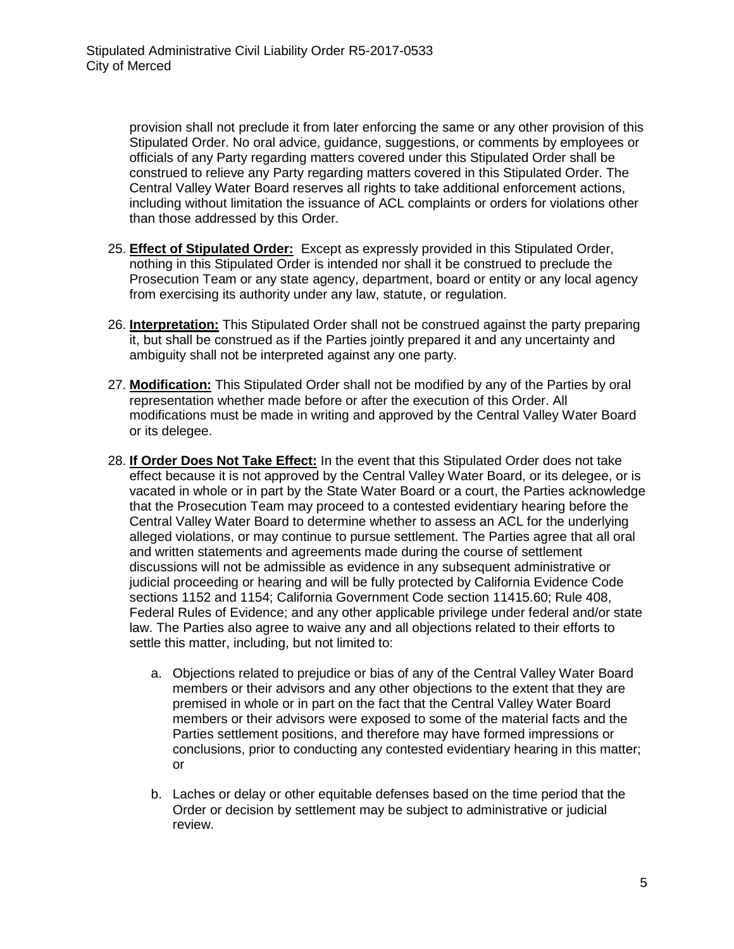provision shall not preclude it from later enforcing the same or any other provision of this Stipulated Order. No oral advice, guidance, suggestions, or comments by employees or officials of any Party regarding matters covered under this Stipulated Order shall be construed to relieve any Party regarding matters covered in this Stipulated Order. The Central Valley Water Board reserves all rights to take additional enforcement actions, including without limitation the issuance of ACL complaints or orders for violations other than those addressed by this Order.

- 25. **Effect of Stipulated Order:** Except as expressly provided in this Stipulated Order, nothing in this Stipulated Order is intended nor shall it be construed to preclude the Prosecution Team or any state agency, department, board or entity or any local agency from exercising its authority under any law, statute, or regulation.
- 26. **Interpretation:** This Stipulated Order shall not be construed against the party preparing it, but shall be construed as if the Parties jointly prepared it and any uncertainty and ambiguity shall not be interpreted against any one party.
- 27. **Modification:** This Stipulated Order shall not be modified by any of the Parties by oral representation whether made before or after the execution of this Order. All modifications must be made in writing and approved by the Central Valley Water Board or its delegee.
- 28. **If Order Does Not Take Effect:** In the event that this Stipulated Order does not take effect because it is not approved by the Central Valley Water Board, or its delegee, or is vacated in whole or in part by the State Water Board or a court, the Parties acknowledge that the Prosecution Team may proceed to a contested evidentiary hearing before the Central Valley Water Board to determine whether to assess an ACL for the underlying alleged violations, or may continue to pursue settlement. The Parties agree that all oral and written statements and agreements made during the course of settlement discussions will not be admissible as evidence in any subsequent administrative or judicial proceeding or hearing and will be fully protected by California Evidence Code sections 1152 and 1154; California Government Code section 11415.60; Rule 408, Federal Rules of Evidence; and any other applicable privilege under federal and/or state law. The Parties also agree to waive any and all objections related to their efforts to settle this matter, including, but not limited to:
	- a. Objections related to prejudice or bias of any of the Central Valley Water Board members or their advisors and any other objections to the extent that they are premised in whole or in part on the fact that the Central Valley Water Board members or their advisors were exposed to some of the material facts and the Parties settlement positions, and therefore may have formed impressions or conclusions, prior to conducting any contested evidentiary hearing in this matter; or
	- b. Laches or delay or other equitable defenses based on the time period that the Order or decision by settlement may be subject to administrative or judicial review.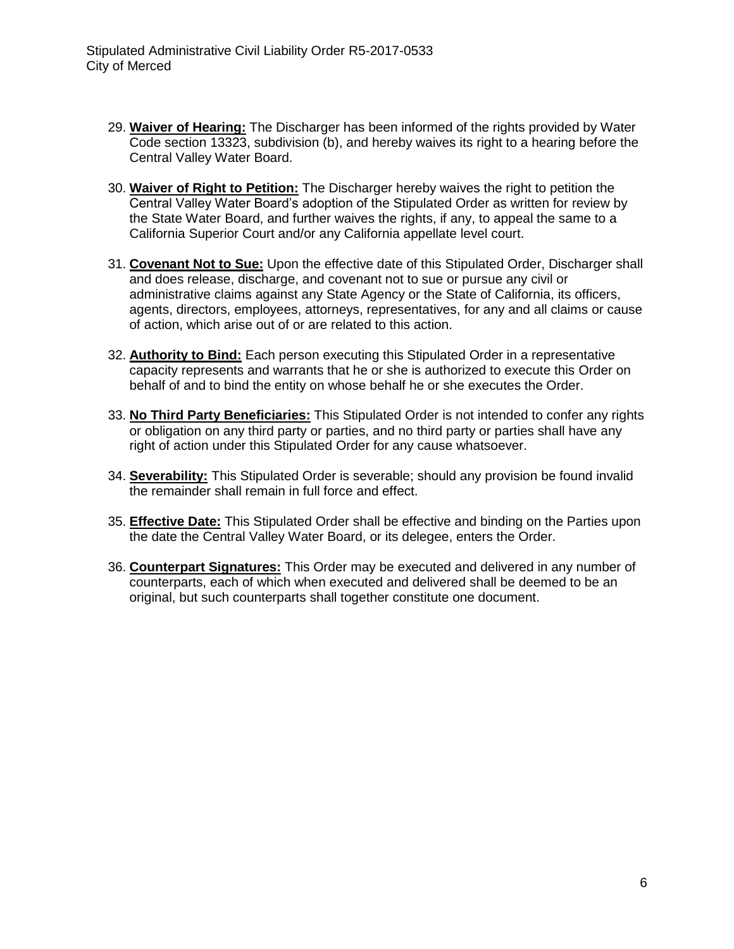- 29. **Waiver of Hearing:** The Discharger has been informed of the rights provided by Water Code section 13323, subdivision (b), and hereby waives its right to a hearing before the Central Valley Water Board.
- 30. **Waiver of Right to Petition:** The Discharger hereby waives the right to petition the Central Valley Water Board's adoption of the Stipulated Order as written for review by the State Water Board, and further waives the rights, if any, to appeal the same to a California Superior Court and/or any California appellate level court.
- 31. **Covenant Not to Sue:** Upon the effective date of this Stipulated Order, Discharger shall and does release, discharge, and covenant not to sue or pursue any civil or administrative claims against any State Agency or the State of California, its officers, agents, directors, employees, attorneys, representatives, for any and all claims or cause of action, which arise out of or are related to this action.
- 32. **Authority to Bind:** Each person executing this Stipulated Order in a representative capacity represents and warrants that he or she is authorized to execute this Order on behalf of and to bind the entity on whose behalf he or she executes the Order.
- 33. **No Third Party Beneficiaries:** This Stipulated Order is not intended to confer any rights or obligation on any third party or parties, and no third party or parties shall have any right of action under this Stipulated Order for any cause whatsoever.
- 34. **Severability:** This Stipulated Order is severable; should any provision be found invalid the remainder shall remain in full force and effect.
- 35. **Effective Date:** This Stipulated Order shall be effective and binding on the Parties upon the date the Central Valley Water Board, or its delegee, enters the Order.
- 36. **Counterpart Signatures:** This Order may be executed and delivered in any number of counterparts, each of which when executed and delivered shall be deemed to be an original, but such counterparts shall together constitute one document.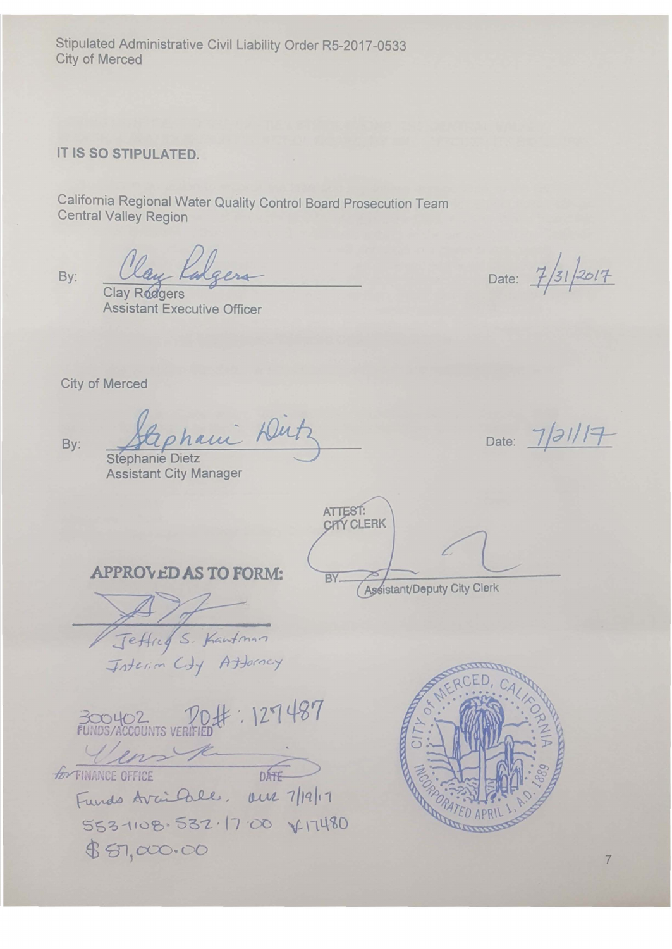Stipulated Administrative Civil Liability Order RS-2017-0533 City of Merced

# **IT IS SO STIPULATED.**

California Regional Water Quality Control Board Prosecution Team Central Valley Region

By: Clay Kalgers

Clay Rodgers Assistant Executive Officer

Date:  $\frac{7}{31}$  2017

City of Merced

By:

Stephani Dutz

Date:  $7/31/17$ 

Stephanie Dietz Assistant City Manager

ATTEST: CITY CLERK BY.

Assistant/Deputy City Clerk

**APPROVED AS TO FORM:** 

Jeffred S. Kantonnon<br>Josterin City Attorney

300402 70#: 127487 Vens K

**FOR TINANCE OFFICE** DATE DATE FUNDS/ACCOUNTS VERIFIED # . 121701  $553108.532.1700 \times 11.000$  $85,000.00$ 

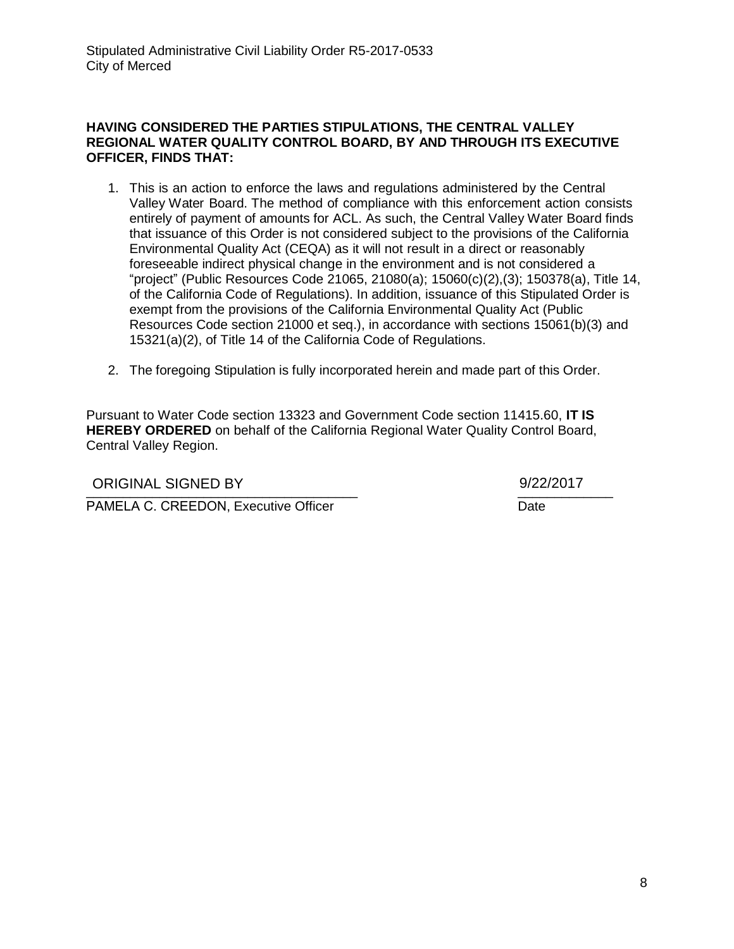### **HAVING CONSIDERED THE PARTIES STIPULATIONS, THE CENTRAL VALLEY REGIONAL WATER QUALITY CONTROL BOARD, BY AND THROUGH ITS EXECUTIVE OFFICER, FINDS THAT:**

- 1. This is an action to enforce the laws and regulations administered by the Central Valley Water Board. The method of compliance with this enforcement action consists entirely of payment of amounts for ACL. As such, the Central Valley Water Board finds that issuance of this Order is not considered subject to the provisions of the California Environmental Quality Act (CEQA) as it will not result in a direct or reasonably foreseeable indirect physical change in the environment and is not considered a "project" (Public Resources Code 21065, 21080(a); 15060(c)(2),(3); 150378(a), Title 14, of the California Code of Regulations). In addition, issuance of this Stipulated Order is exempt from the provisions of the California Environmental Quality Act (Public Resources Code section 21000 et seq.), in accordance with sections 15061(b)(3) and 15321(a)(2), of Title 14 of the California Code of Regulations.
- 2. The foregoing Stipulation is fully incorporated herein and made part of this Order.

Pursuant to Water Code section 13323 and Government Code section 11415.60, **IT IS HEREBY ORDERED** on behalf of the California Regional Water Quality Control Board, Central Valley Region.

ORIGINAL SIGNED BY 9/22/2017

9/22/2017

PAMELA C. CREEDON, Executive Officer

Date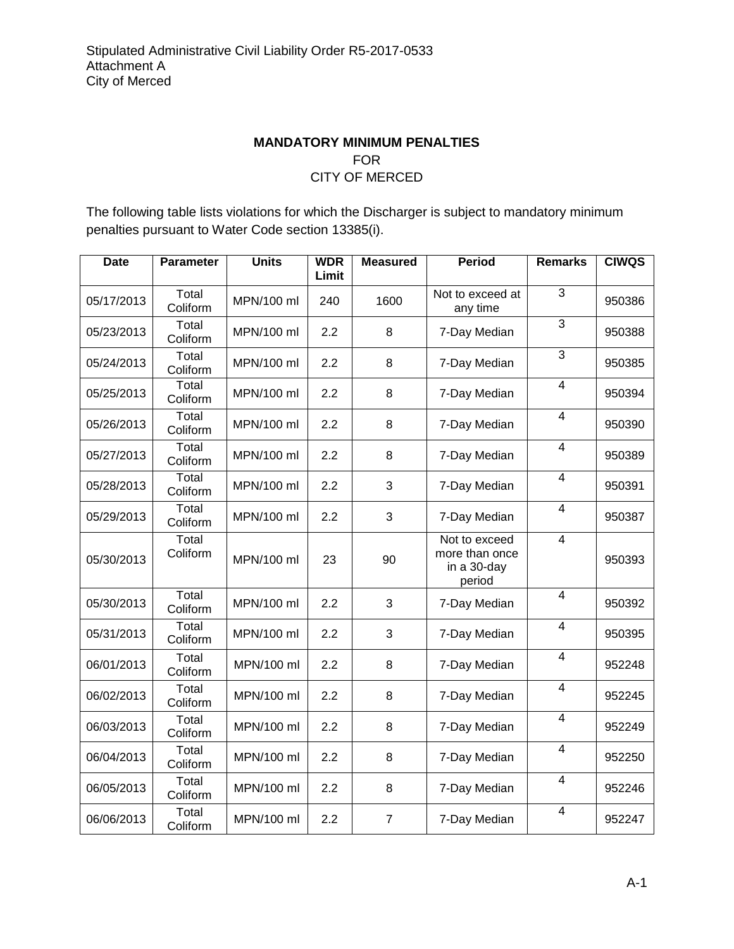# **MANDATORY MINIMUM PENALTIES** FOR CITY OF MERCED

The following table lists violations for which the Discharger is subject to mandatory minimum penalties pursuant to Water Code section 13385(i).

| <b>Date</b> | <b>Parameter</b>  | <b>Units</b> | <b>WDR</b><br>Limit | <b>Measured</b> | <b>Period</b>                                            | <b>Remarks</b>          | <b>CIWQS</b> |
|-------------|-------------------|--------------|---------------------|-----------------|----------------------------------------------------------|-------------------------|--------------|
| 05/17/2013  | Total<br>Coliform | MPN/100 ml   | 240                 | 1600            | Not to exceed at<br>any time                             | $\overline{3}$          | 950386       |
| 05/23/2013  | Total<br>Coliform | MPN/100 ml   | 2.2                 | 8               | 7-Day Median                                             | 3                       | 950388       |
| 05/24/2013  | Total<br>Coliform | MPN/100 ml   | 2.2                 | 8               | 7-Day Median                                             | 3                       | 950385       |
| 05/25/2013  | Total<br>Coliform | MPN/100 ml   | 2.2                 | 8               | 7-Day Median                                             | 4                       | 950394       |
| 05/26/2013  | Total<br>Coliform | MPN/100 ml   | 2.2                 | 8               | 7-Day Median                                             | $\overline{\mathbf{4}}$ | 950390       |
| 05/27/2013  | Total<br>Coliform | MPN/100 ml   | 2.2                 | 8               | 7-Day Median                                             | $\overline{4}$          | 950389       |
| 05/28/2013  | Total<br>Coliform | MPN/100 ml   | 2.2                 | 3               | 7-Day Median                                             | $\overline{4}$          | 950391       |
| 05/29/2013  | Total<br>Coliform | MPN/100 ml   | 2.2                 | 3               | 7-Day Median                                             | $\overline{4}$          | 950387       |
| 05/30/2013  | Total<br>Coliform | MPN/100 ml   | 23                  | 90              | Not to exceed<br>more than once<br>in a 30-day<br>period | $\overline{4}$          | 950393       |
| 05/30/2013  | Total<br>Coliform | MPN/100 ml   | 2.2                 | 3               | 7-Day Median                                             | $\overline{4}$          | 950392       |
| 05/31/2013  | Total<br>Coliform | MPN/100 ml   | 2.2                 | 3               | 7-Day Median                                             | 4                       | 950395       |
| 06/01/2013  | Total<br>Coliform | MPN/100 ml   | 2.2                 | 8               | 7-Day Median                                             | 4                       | 952248       |
| 06/02/2013  | Total<br>Coliform | MPN/100 ml   | 2.2                 | 8               | 7-Day Median                                             | $\overline{\mathbf{4}}$ | 952245       |
| 06/03/2013  | Total<br>Coliform | MPN/100 ml   | 2.2                 | 8               | 7-Day Median                                             | $\overline{\mathbf{4}}$ | 952249       |
| 06/04/2013  | Total<br>Coliform | MPN/100 ml   | 2.2                 | 8               | 7-Day Median                                             | $\overline{4}$          | 952250       |
| 06/05/2013  | Total<br>Coliform | MPN/100 ml   | 2.2                 | 8               | 7-Day Median                                             | $\overline{4}$          | 952246       |
| 06/06/2013  | Total<br>Coliform | MPN/100 ml   | 2.2                 | $\overline{7}$  | 7-Day Median                                             | 4                       | 952247       |